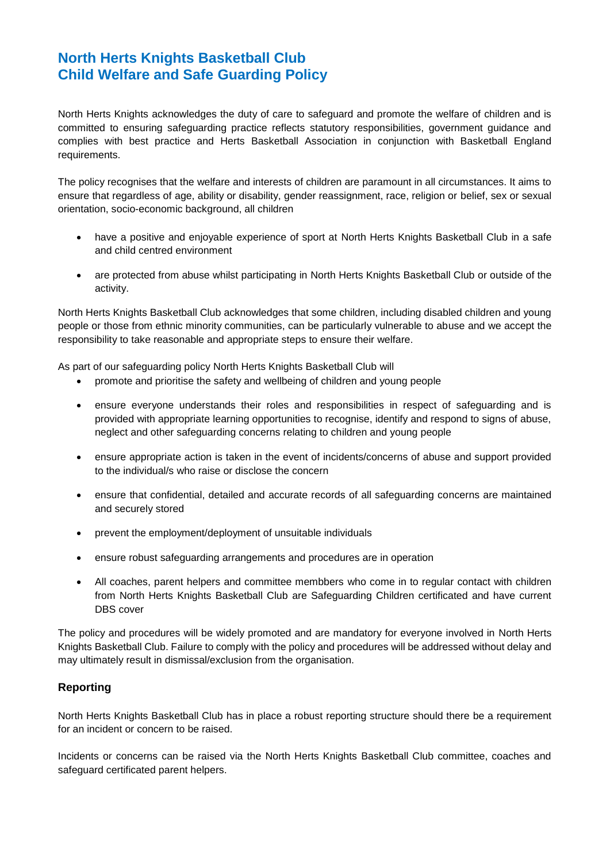# **North Herts Knights Basketball Club Child Welfare and Safe Guarding Policy**

North Herts Knights acknowledges the duty of care to safeguard and promote the welfare of children and is committed to ensuring safeguarding practice reflects statutory responsibilities, government guidance and complies with best practice and Herts Basketball Association in conjunction with Basketball England requirements.

The policy recognises that the welfare and interests of children are paramount in all circumstances. It aims to ensure that regardless of age, ability or disability, gender reassignment, race, religion or belief, sex or sexual orientation, socio-economic background, all children

- have a positive and enjoyable experience of sport at North Herts Knights Basketball Club in a safe and child centred environment
- are protected from abuse whilst participating in North Herts Knights Basketball Club or outside of the activity.

North Herts Knights Basketball Club acknowledges that some children, including disabled children and young people or those from ethnic minority communities, can be particularly vulnerable to abuse and we accept the responsibility to take reasonable and appropriate steps to ensure their welfare.

As part of our safeguarding policy North Herts Knights Basketball Club will

- promote and prioritise the safety and wellbeing of children and young people
- ensure everyone understands their roles and responsibilities in respect of safeguarding and is provided with appropriate learning opportunities to recognise, identify and respond to signs of abuse, neglect and other safeguarding concerns relating to children and young people
- ensure appropriate action is taken in the event of incidents/concerns of abuse and support provided to the individual/s who raise or disclose the concern
- ensure that confidential, detailed and accurate records of all safeguarding concerns are maintained and securely stored
- prevent the employment/deployment of unsuitable individuals
- ensure robust safeguarding arrangements and procedures are in operation
- All coaches, parent helpers and committee membbers who come in to regular contact with children from North Herts Knights Basketball Club are Safeguarding Children certificated and have current DBS cover

The policy and procedures will be widely promoted and are mandatory for everyone involved in North Herts Knights Basketball Club. Failure to comply with the policy and procedures will be addressed without delay and may ultimately result in dismissal/exclusion from the organisation.

## **Reporting**

North Herts Knights Basketball Club has in place a robust reporting structure should there be a requirement for an incident or concern to be raised.

Incidents or concerns can be raised via the North Herts Knights Basketball Club committee, coaches and safeguard certificated parent helpers.